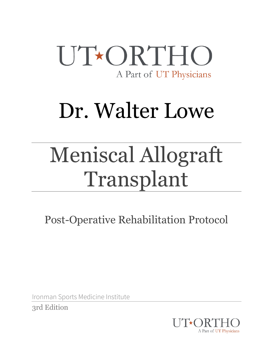

# Dr. Walter Lowe

# Meniscal Allograft Transplant

Post-Operative Rehabilitation Protocol

Ironman Sports Medicine Institute

3rd Edition

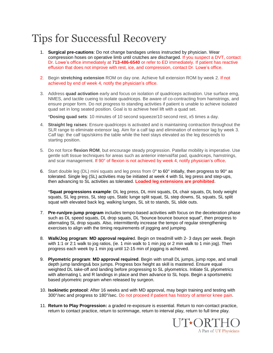### Tips for Successful Recovery

- 1. **Surgical pre-cautions**: Do not change bandages unless instructed by physician. Wear compression hoses on operative limb until crutches are discharged. If you suspect a DVT, contact Dr. Lowe's office immediately at **713-486-6540** or refer to ED immediately. If patient has reactive effusion that does not improve with rest, ice, and compression, contact Dr. Lowe's office.
- 2. Begin **stretching extension** ROM on day one. Achieve full extension ROM by week 2. If not achieved by end of week 4, notify the physician's office.
- 3. Address **quad activation** early and focus on isolation of quadriceps activation. Use surface emg, NMES, and tactile cueing to isolate quadriceps. Be aware of co-contracting from hamstrings, and ensure proper form. Do not progress to standing activities if patient is unable to achieve isolated quad set in long seated position. Goal is to achieve heel lift with a quad set.

\***Dosing quad sets**: 10 minutes of 10 second squeeze/10 second rest, x5 times a day.

- 4. **Straight leg raises**: Ensure quadriceps is activated and is maintaining contraction throughout the SLR range to eliminate extensor lag. Aim for a calf tap and elimination of extensor lag by week 3. Calf tap: the calf taps/skims the table while the heel stays elevated as the leg descends to starting position.
- 5. Do not force **flexion ROM**, but encourage steady progression. Patellar mobility is imperative. Use gentle soft tissue techniques for areas such as anterior interval/fat pad, quadriceps, hamstrings, and scar management. If 90° of flexion is not achieved by week 4, notify physician's office.
- 6. Start double leg (DL) mini squats and leg press from 0° to 60° initially, then progress to 90° as tolerated. Single leg (SL) activities may be initiated at week 4 with SL leg press and step-ups, then advancing to SL activities as tolerated. **Loaded leg extensions are prohibited**.

\***Squat progressions example**: DL leg press, DL mini squats, DL chair squats, DL body weight squats, SL leg press, SL step ups, Static lunge split squat, SL step downs, SL squats, SL split squat with elevated back leg, walking lunges, SL sit to stands, SL slide outs.

- 7. **Pre-run/pre-jump program** includes tempo-based activities with focus on the deceleration phase such as DL speed squats, DL drop squats, DL "bounce bounce bounce squat", then progress to alternating SL drop squats. Also, intermittently increase the tempo of regular strengthening exercises to align with the timing requirements of jogging and jumping.
- 8. **Walk/Jog program**: **MD approval require**d. Begin on treadmill with 2- 3 days per week. Begin with 1:1 or 2:1 walk to jog ratios, (ie. 1 min walk to 1 min jog or 2 min walk to 1 min jog). Then progress each week by 1 min jog until 12-15 min of jogging is achieved.
- 9. **Plyometric program**: **MD approval required**. Begin with small DL jumps, jump rope, and small depth jump landings& box jumps. Progress box height as skill is mastered. Ensure equal weighted DL take-off and landing before progressing to SL plyometrics. Initiate SL plyometrics with alternating L and R landings in place and then advance to SL hops. Begin a sportsmetric based plyometric program when released by surgeon.
- 10. **Isokinetic protocol**: After 16 weeks and with MD approval, may begin training and testing with 300°/sec and progress to 180°/sec. Do not proceed if patient has history of anterior knee pain.
- 11. **Return to Play Progression:** a graded re-exposure is essential. Return to non-contact practice, return to contact practice, return to scrimmage, return to interval play, return to full time play.

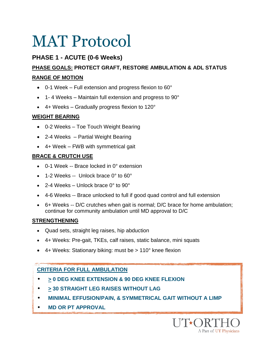### **PHASE 1 - ACUTE (0-6 Weeks)**

### **PHASE GOALS: PROTECT GRAFT, RESTORE AMBULATION & ADL STATUS RANGE OF MOTION**

- 0-1 Week Full extension and progress flexion to 60°
- 1-4 Weeks Maintain full extension and progress to 90°
- 4+ Weeks Gradually progress flexion to 120°

### **WEIGHT BEARING**

- 0-2 Weeks Toe Touch Weight Bearing
- 2-4 Weeks Partial Weight Bearing
- 4+ Week FWB with symmetrical gait

### **BRACE & CRUTCH USE**

- 0-1 Week -- Brace locked in 0° extension
- $\bullet$  1-2 Weeks -- Unlock brace 0° to 60°
- $\bullet$  2-4 Weeks Unlock brace 0 $\degree$  to 90 $\degree$
- 4-6 Weeks -- Brace unlocked to full if good quad control and full extension
- 6+ Weeks -- D/C crutches when gait is normal; D/C brace for home ambulation; continue for community ambulation until MD approval to D/C

#### **STRENGTHENING**

- Quad sets, straight leg raises, hip abduction
- 4+ Weeks: Pre-gait, TKEs, calf raises, static balance, mini squats
- 4+ Weeks: Stationary biking: must be > 110° knee flexion

### **CRITERIA FOR FULL AMBULATION**

- • **> 0 DEG KNEE EXTENSION & 90 DEG KNEE FLEXION**
- **> 30 STRAIGHT LEG RAISES WITHOUT LAG**
- **MINIMAL EFFUSION/PAIN, & SYMMETRICAL GAIT WITHOUT A LIMP**
- • **MD OR PT APPROVAL**

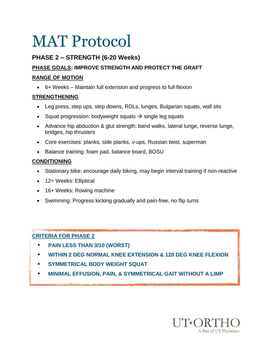### **PHASE 2 – STRENGTH (6-20 Weeks)**

### **PHASE GOALS: IMPROVE STRENGTH AND PROTECT THE GRAFT**

#### **RANGE OF MOTION**

6+ Weeks – Maintain full extension and progress to full flexion

### **STRENGTHENING**

- Leg press, step ups, step downs, RDLs, lunges, Bulgarian squats, wall sits
- Squat progression: bodyweight squats  $\rightarrow$  single leg squats
- Advance hip abduction & glut strength: band walks, lateral lunge, reverse lunge, bridges, hip thrusters
- Core exercises: planks, side planks, v-ups, Russian twist, superman
- Balance training: foam pad, balance board, BOSU

### **CONDITIONING**

- Stationary bike: encourage daily biking, may begin interval training if non-reactive
- 12+ Weeks: Elliptical
- 16+ Weeks: Rowing machine
- Swimming: Progress kicking gradually and pain-free, no flip turns

### **CRITERIA FOR PHASE 2**

- • **PAIN LESS THAN 3/10 (WORST)**
- • **WITHIN 2 DEG NORMAL KNEE EXTENSION & 120 DEG KNEE FLEXION**
- **SYMMETRICAL BODY WEIGHT SQUAT**
- **MINIMAL EFFUSION, PAIN, & SYMMETRICAL GAIT WITHOUT A LIMP**

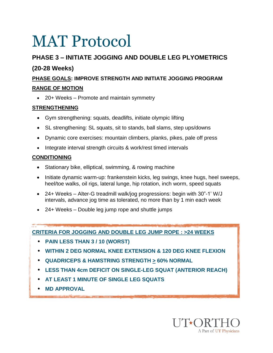### **PHASE 3 – INITIATE JOGGING AND DOUBLE LEG PLYOMETRICS**

### **(20-28 Weeks)**

### **PHASE GOALS: IMPROVE STRENGTH AND INITIATE JOGGING PROGRAM**

### **RANGE OF MOTION**

20+ Weeks – Promote and maintain symmetry

### **STRENGTHENING**

- Gym strengthening: squats, deadlifts, initiate olympic lifting
- SL strengthening: SL squats, sit to stands, ball slams, step ups/downs
- Dynamic core exercises: mountain climbers, planks, pikes, pale off press
- Integrate interval strength circuits & work/rest timed intervals

### **CONDITIONING**

- Stationary bike, elliptical, swimming, & rowing machine
- Initiate dynamic warm-up: frankenstein kicks, leg swings, knee hugs, heel sweeps, heel/toe walks, oil rigs, lateral lunge, hip rotation, inch worm, speed squats
- 24+ Weeks Alter-G treadmill walk/jog progressions: begin with 30"-1' W/J intervals, advance jog time as tolerated, no more than by 1 min each week
- 24+ Weeks Double leg jump rope and shuttle jumps

**CRITERIA FOR JOGGING AND DOUBLE LEG JUMP ROPE : >24 WEEKS**

- **PAIN LESS THAN 3 / 10 (WORST)**
- **WITHIN 2 DEG NORMAL KNEE EXTENSION & 120 DEG KNEE FLEXION**
- **QUADRICEPS & HAMSTRING STRENGTH > 60% NORMAL**
- **LESS THAN 4cm DEFICIT ON SINGLE-LEG SQUAT (ANTERIOR REACH)**
- **AT LEAST 1 MINUTE OF SINGLE LEG SQUATS**
- **MD APPROVAL**

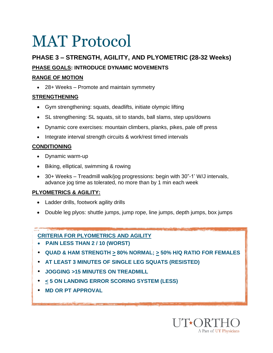### **PHASE 3 – STRENGTH, AGILITY, AND PLYOMETRIC (28-32 Weeks)**

### **PHASE GOALS: INTRODUCE DYNAMIC MOVEMENTS**

### **RANGE OF MOTION**

28+ Weeks – Promote and maintain symmetry

### **STRENGTHENING**

- Gym strengthening: squats, deadlifts, initiate olympic lifting
- SL strengthening: SL squats, sit to stands, ball slams, step ups/downs
- Dynamic core exercises: mountain climbers, planks, pikes, pale off press
- Integrate interval strength circuits & work/rest timed intervals

### **CONDITIONING**

- Dynamic warm-up
- Biking, elliptical, swimming & rowing
- 30+ Weeks Treadmill walk/jog progressions: begin with 30"-1' W/J intervals, advance jog time as tolerated, no more than by 1 min each week

### **PLYOMETRICS & AGILITY:**

- Ladder drills, footwork agility drills
- Double leg plyos: shuttle jumps, jump rope, line jumps, depth jumps, box jumps

### **CRITERIA FOR PLYOMETRICS AND AGILITY**

- **PAIN LESS THAN 2 / 10 (WORST)**
- **QUAD & HAM STRENGTH > 80% NORMAL; > 50% H/Q RATIO FOR FEMALES**
- **AT LEAST 3 MINUTES OF SINGLE LEG SQUATS (RESISTED)**
- **JOGGING >15 MINUTES ON TREADMILL**
- **< 5 ON LANDING ERROR SCORING SYSTEM (LESS)**
- **MD OR PT APPROVAL**

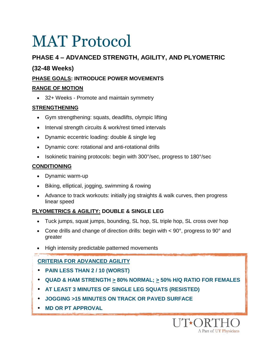### **PHASE 4 – ADVANCED STRENGTH, AGILITY, AND PLYOMETRIC**

### **(32-48 Weeks)**

### **PHASE GOALS: INTRODUCE POWER MOVEMENTS**

### **RANGE OF MOTION**

32+ Weeks - Promote and maintain symmetry

### **STRENGTHENING**

- Gym strengthening: squats, deadlifts, olympic lifting
- Interval strength circuits & work/rest timed intervals
- Dynamic eccentric loading: double & single leg
- Dynamic core: rotational and anti-rotational drills
- Isokinetic training protocols: begin with 300°/sec, progress to 180°/sec

### **CONDITIONING**

- Dynamic warm-up
- Biking, elliptical, jogging, swimming & rowing
- Advance to track workouts: initially jog straights & walk curves, then progress linear speed

### **PLYOMETRICS & AGILITY: DOUBLE & SINGLE LEG**

- Tuck jumps, squat jumps, bounding, SL hop, SL triple hop, SL cross over hop
- Cone drills and change of direction drills: begin with  $< 90^\circ$ , progress to  $90^\circ$  and greater
- High intensity predictable patterned movements

### **CRITERIA FOR ADVANCED AGILITY**

- **PAIN LESS THAN 2 / 10 (WORST)**
- **QUAD & HAM STRENGTH > 80% NORMAL; > 50% H/Q RATIO FOR FEMALES**
- **AT LEAST 3 MINUTES OF SINGLE LEG SQUATS (RESISTED)**
- **JOGGING >15 MINUTES ON TRACK OR PAVED SURFACE**
- **MD OR PT APPROVAL**